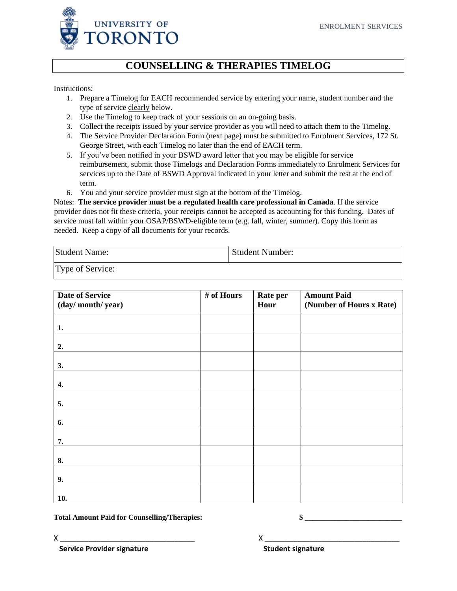

## **COUNSELLING & THERAPIES TIMELOG**

Instructions:

- 1. Prepare a Timelog for EACH recommended service by entering your name, student number and the type of service clearly below.
- 2. Use the Timelog to keep track of your sessions on an on-going basis.
- 3. Collect the receipts issued by your service provider as you will need to attach them to the Timelog.
- 4. The Service Provider Declaration Form (next page) must be submitted to Enrolment Services, 172 St. George Street, with each Timelog no later than the end of EACH term.
- 5. If you've been notified in your BSWD award letter that you may be eligible for service reimbursement, submit those Timelogs and Declaration Forms immediately to Enrolment Services for services up to the Date of BSWD Approval indicated in your letter and submit the rest at the end of term.
- 6. You and your service provider must sign at the bottom of the Timelog.

Notes: **The service provider must be a regulated health care professional in Canada**. If the service provider does not fit these criteria, your receipts cannot be accepted as accounting for this funding. Dates of service must fall within your OSAP/BSWD-eligible term (e.g. fall, winter, summer). Copy this form as needed.Keep a copy of all documents for your records.

| Student Name:    | <b>Student Number:</b> |
|------------------|------------------------|
| Type of Service: |                        |

| <b>Date of Service</b> | # of Hours | Rate per | <b>Amount Paid</b>       |
|------------------------|------------|----------|--------------------------|
| (day/month/year)       |            | Hour     | (Number of Hours x Rate) |
|                        |            |          |                          |
| 1.                     |            |          |                          |
|                        |            |          |                          |
| 2.                     |            |          |                          |
| 3.                     |            |          |                          |
|                        |            |          |                          |
| 4.                     |            |          |                          |
| 5.                     |            |          |                          |
|                        |            |          |                          |
| 6.                     |            |          |                          |
| 7.                     |            |          |                          |
|                        |            |          |                          |
| 8.                     |            |          |                          |
| 9.                     |            |          |                          |
|                        |            |          |                          |
| 10.                    |            |          |                          |

Total Amount Paid for Counselling/Therapies:  $\$ 

 $X \sim$ **Service Provider signature**  The Student signature **Student** signature